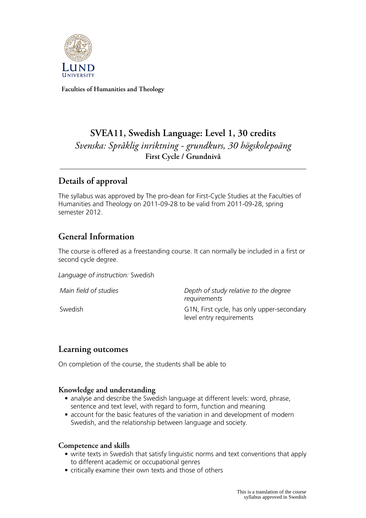

**Faculties of Humanities and Theology**

# **SVEA11, Swedish Language: Level 1, 30 credits** *Svenska: Språklig inriktning - grundkurs, 30 högskolepoäng* **First Cycle / Grundnivå**

# **Details of approval**

The syllabus was approved by The pro-dean for First-Cycle Studies at the Faculties of Humanities and Theology on 2011-09-28 to be valid from 2011-09-28, spring semester 2012.

# **General Information**

The course is offered as a freestanding course. It can normally be included in a first or second cycle degree.

*Language of instruction:* Swedish

*Main field of studies Depth of study relative to the degree requirements* Swedish G1N, First cycle, has only upper-secondary level entry requirements

## **Learning outcomes**

On completion of the course, the students shall be able to

### **Knowledge and understanding**

- analyse and describe the Swedish language at different levels: word, phrase, sentence and text level, with regard to form, function and meaning
- account for the basic features of the variation in and development of modern Swedish, and the relationship between language and society.

### **Competence and skills**

- write texts in Swedish that satisfy linguistic norms and text conventions that apply to different academic or occupational genres
- critically examine their own texts and those of others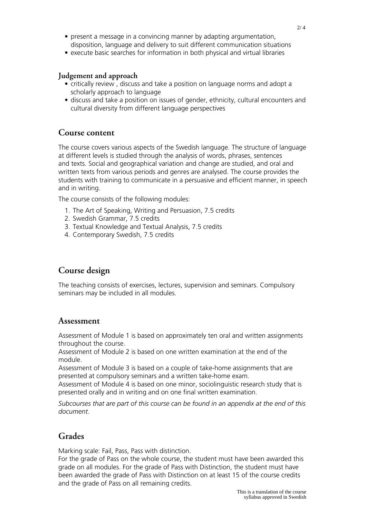- present a message in a convincing manner by adapting argumentation, disposition, language and delivery to suit different communication situations
- execute basic searches for information in both physical and virtual libraries

#### **Judgement and approach**

- critically review , discuss and take a position on language norms and adopt a scholarly approach to language
- discuss and take a position on issues of gender, ethnicity, cultural encounters and cultural diversity from different language perspectives

### **Course content**

The course covers various aspects of the Swedish language. The structure of language at different levels is studied through the analysis of words, phrases, sentences and texts. Social and geographical variation and change are studied, and oral and written texts from various periods and genres are analysed. The course provides the students with training to communicate in a persuasive and efficient manner, in speech and in writing.

The course consists of the following modules:

- 1. The Art of Speaking, Writing and Persuasion, 7.5 credits
- 2. Swedish Grammar, 7.5 credits
- 3. Textual Knowledge and Textual Analysis, 7.5 credits
- 4. Contemporary Swedish, 7.5 credits

## **Course design**

The teaching consists of exercises, lectures, supervision and seminars. Compulsory seminars may be included in all modules.

### **Assessment**

Assessment of Module 1 is based on approximately ten oral and written assignments throughout the course.

Assessment of Module 2 is based on one written examination at the end of the module.

Assessment of Module 3 is based on a couple of take-home assignments that are presented at compulsory seminars and a written take-home exam.

Assessment of Module 4 is based on one minor, sociolinguistic research study that is presented orally and in writing and on one final written examination.

*Subcourses that are part of this course can be found in an appendix at the end of this document.*

## **Grades**

Marking scale: Fail, Pass, Pass with distinction.

For the grade of Pass on the whole course, the student must have been awarded this grade on all modules. For the grade of Pass with Distinction, the student must have been awarded the grade of Pass with Distinction on at least 15 of the course credits and the grade of Pass on all remaining credits.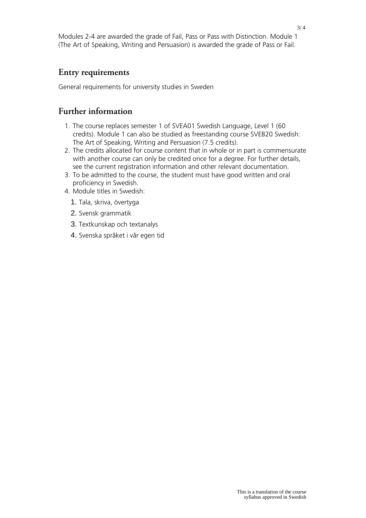Modules 2-4 are awarded the grade of Fail, Pass or Pass with Distinction. Module 1 (The Art of Speaking, Writing and Persuasion) is awarded the grade of Pass or Fail.

### **Entry requirements**

General requirements for university studies in Sweden

## **Further information**

- 1. The course replaces semester 1 of SVEA01 Swedish Language, Level 1 (60 credits). Module 1 can also be studied as freestanding course SVEB20 Swedish: The Art of Speaking, Writing and Persuasion (7.5 credits).
- 2. The credits allocated for course content that in whole or in part is commensurate with another course can only be credited once for a degree. For further details, see the current registration information and other relevant documentation.
- 3. To be admitted to the course, the student must have good written and oral proficiency in Swedish.
- 4. Module titles in Swedish:
	- 1. Tala, skriva, övertyga
	- 2. Svensk grammatik
	- 3. Textkunskap och textanalys
	- 4. Svenska språket i vår egen tid